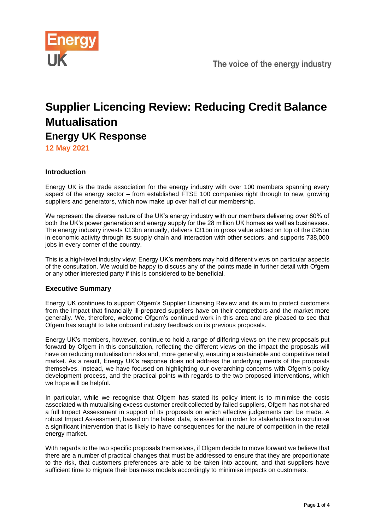

# **Supplier Licencing Review: Reducing Credit Balance Mutualisation Energy UK Response**

**12 May 2021**

# **Introduction**

Energy UK is the trade association for the energy industry with over 100 members spanning every aspect of the energy sector – from established FTSE 100 companies right through to new, growing suppliers and generators, which now make up over half of our membership.

We represent the diverse nature of the UK's energy industry with our members delivering over 80% of both the UK's power generation and energy supply for the 28 million UK homes as well as businesses. The energy industry invests £13bn annually, delivers £31bn in gross value added on top of the £95bn in economic activity through its supply chain and interaction with other sectors, and supports 738,000 jobs in every corner of the country.

This is a high-level industry view; Energy UK's members may hold different views on particular aspects of the consultation. We would be happy to discuss any of the points made in further detail with Ofgem or any other interested party if this is considered to be beneficial.

## **Executive Summary**

Energy UK continues to support Ofgem's Supplier Licensing Review and its aim to protect customers from the impact that financially ill-prepared suppliers have on their competitors and the market more generally. We, therefore, welcome Ofgem's continued work in this area and are pleased to see that Ofgem has sought to take onboard industry feedback on its previous proposals.

Energy UK's members, however, continue to hold a range of differing views on the new proposals put forward by Ofgem in this consultation, reflecting the different views on the impact the proposals will have on reducing mutualisation risks and, more generally, ensuring a sustainable and competitive retail market. As a result, Energy UK's response does not address the underlying merits of the proposals themselves. Instead, we have focused on highlighting our overarching concerns with Ofgem's policy development process, and the practical points with regards to the two proposed interventions, which we hope will be helpful.

In particular, while we recognise that Ofgem has stated its policy intent is to minimise the costs associated with mutualising excess customer credit collected by failed suppliers, Ofgem has not shared a full Impact Assessment in support of its proposals on which effective judgements can be made. A robust Impact Assessment, based on the latest data, is essential in order for stakeholders to scrutinise a significant intervention that is likely to have consequences for the nature of competition in the retail energy market.

With regards to the two specific proposals themselves, if Ofgem decide to move forward we believe that there are a number of practical changes that must be addressed to ensure that they are proportionate to the risk, that customers preferences are able to be taken into account, and that suppliers have sufficient time to migrate their business models accordingly to minimise impacts on customers.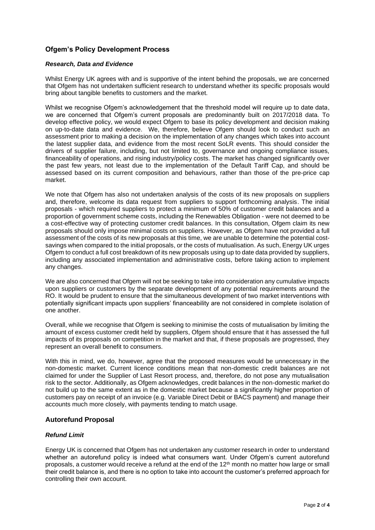## **Ofgem's Policy Development Process**

#### *Research, Data and Evidence*

Whilst Energy UK agrees with and is supportive of the intent behind the proposals, we are concerned that Ofgem has not undertaken sufficient research to understand whether its specific proposals would bring about tangible benefits to customers and the market.

Whilst we recognise Ofgem's acknowledgement that the threshold model will require up to date data. we are concerned that Ofgem's current proposals are predominantly built on 2017/2018 data. To develop effective policy, we would expect Ofgem to base its policy development and decision making on up-to-date data and evidence. We, therefore, believe Ofgem should look to conduct such an assessment prior to making a decision on the implementation of any changes which takes into account the latest supplier data, and evidence from the most recent SoLR events. This should consider the drivers of supplier failure, including, but not limited to, governance and ongoing compliance issues, financeability of operations, and rising industry/policy costs. The market has changed significantly over the past few years, not least due to the implementation of the Default Tariff Cap, and should be assessed based on its current composition and behaviours, rather than those of the pre-price cap market.

We note that Ofgem has also not undertaken analysis of the costs of its new proposals on suppliers and, therefore, welcome its data request from suppliers to support forthcoming analysis. The initial proposals - which required suppliers to protect a minimum of 50% of customer credit balances and a proportion of government scheme costs, including the Renewables Obligation - were not deemed to be a cost-effective way of protecting customer credit balances. In this consultation, Ofgem claim its new proposals should only impose minimal costs on suppliers. However, as Ofgem have not provided a full assessment of the costs of its new proposals at this time, we are unable to determine the potential costsavings when compared to the initial proposals, or the costs of mutualisation. As such, Energy UK urges Ofgem to conduct a full cost breakdown of its new proposals using up to date data provided by suppliers, including any associated implementation and administrative costs, before taking action to implement any changes.

We are also concerned that Ofgem will not be seeking to take into consideration any cumulative impacts upon suppliers or customers by the separate development of any potential requirements around the RO. It would be prudent to ensure that the simultaneous development of two market interventions with potentially significant impacts upon suppliers' financeability are not considered in complete isolation of one another.

Overall, while we recognise that Ofgem is seeking to minimise the costs of mutualisation by limiting the amount of excess customer credit held by suppliers, Ofgem should ensure that it has assessed the full impacts of its proposals on competition in the market and that, if these proposals are progressed, they represent an overall benefit to consumers.

With this in mind, we do, however, agree that the proposed measures would be unnecessary in the non-domestic market. Current licence conditions mean that non-domestic credit balances are not claimed for under the Supplier of Last Resort process, and, therefore, do not pose any mutualisation risk to the sector. Additionally, as Ofgem acknowledges, credit balances in the non-domestic market do not build up to the same extent as in the domestic market because a significantly higher proportion of customers pay on receipt of an invoice (e.g. Variable Direct Debit or BACS payment) and manage their accounts much more closely, with payments tending to match usage.

## **Autorefund Proposal**

#### *Refund Limit*

Energy UK is concerned that Ofgem has not undertaken any customer research in order to understand whether an autorefund policy is indeed what consumers want. Under Ofgem's current autorefund proposals, a customer would receive a refund at the end of the  $12<sup>th</sup>$  month no matter how large or small their credit balance is, and there is no option to take into account the customer's preferred approach for controlling their own account.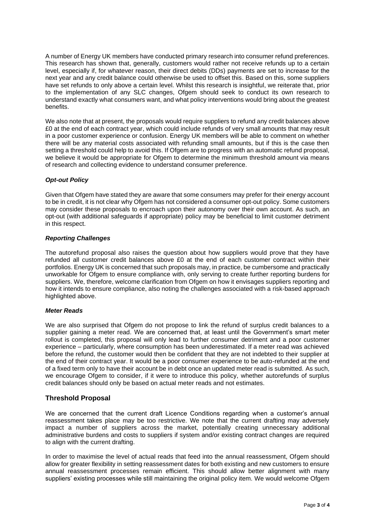A number of Energy UK members have conducted primary research into consumer refund preferences. This research has shown that, generally, customers would rather not receive refunds up to a certain level, especially if, for whatever reason, their direct debits (DDs) payments are set to increase for the next year and any credit balance could otherwise be used to offset this. Based on this, some suppliers have set refunds to only above a certain level. Whilst this research is insightful, we reiterate that, prior to the implementation of any SLC changes, Ofgem should seek to conduct its own research to understand exactly what consumers want, and what policy interventions would bring about the greatest benefits.

We also note that at present, the proposals would require suppliers to refund any credit balances above £0 at the end of each contract year, which could include refunds of very small amounts that may result in a poor customer experience or confusion. Energy UK members will be able to comment on whether there will be any material costs associated with refunding small amounts, but if this is the case then setting a threshold could help to avoid this. If Ofgem are to progress with an automatic refund proposal, we believe it would be appropriate for Ofgem to determine the minimum threshold amount via means of research and collecting evidence to understand consumer preference.

## *Opt-out Policy*

Given that Ofgem have stated they are aware that some consumers may prefer for their energy account to be in credit, it is not clear why Ofgem has not considered a consumer opt-out policy. Some customers may consider these proposals to encroach upon their autonomy over their own account. As such, an opt-out (with additional safeguards if appropriate) policy may be beneficial to limit customer detriment in this respect.

#### *Reporting Challenges*

The autorefund proposal also raises the question about how suppliers would prove that they have refunded all customer credit balances above £0 at the end of each customer contract within their portfolios. Energy UK is concerned that such proposals may, in practice, be cumbersome and practically unworkable for Ofgem to ensure compliance with, only serving to create further reporting burdens for suppliers. We, therefore, welcome clarification from Ofgem on how it envisages suppliers reporting and how it intends to ensure compliance, also noting the challenges associated with a risk-based approach highlighted above.

#### *Meter Reads*

We are also surprised that Ofgem do not propose to link the refund of surplus credit balances to a supplier gaining a meter read. We are concerned that, at least until the Government's smart meter rollout is completed, this proposal will only lead to further consumer detriment and a poor customer experience – particularly, where consumption has been underestimated. If a meter read was achieved before the refund, the customer would then be confident that they are not indebted to their supplier at the end of their contract year. It would be a poor consumer experience to be auto-refunded at the end of a fixed term only to have their account be in debt once an updated meter read is submitted. As such, we encourage Ofgem to consider, if it were to introduce this policy, whether autorefunds of surplus credit balances should only be based on actual meter reads and not estimates.

## **Threshold Proposal**

We are concerned that the current draft Licence Conditions regarding when a customer's annual reassessment takes place may be too restrictive. We note that the current drafting may adversely impact a number of suppliers across the market, potentially creating unnecessary additional administrative burdens and costs to suppliers if system and/or existing contract changes are required to align with the current drafting.

In order to maximise the level of actual reads that feed into the annual reassessment, Ofgem should allow for greater flexibility in setting reassessment dates for both existing and new customers to ensure annual reassessment processes remain efficient. This should allow better alignment with many suppliers' existing processes while still maintaining the original policy item. We would welcome Ofgem